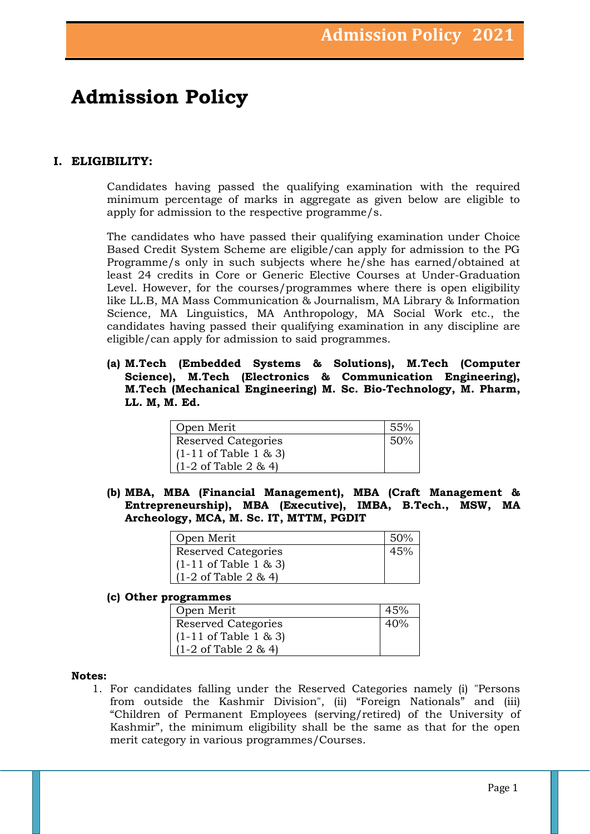## **Admission Policy**

## **I. ELIGIBILITY:**

Candidates having passed the qualifying examination with the required minimum percentage of marks in aggregate as given below are eligible to apply for admission to the respective programme/s.

The candidates who have passed their qualifying examination under Choice Based Credit System Scheme are eligible/can apply for admission to the PG Programme/s only in such subjects where he/she has earned/obtained at least 24 credits in Core or Generic Elective Courses at Under-Graduation Level. However, for the courses/programmes where there is open eligibility like LL.B, MA Mass Communication & Journalism, MA Library & Information Science, MA Linguistics, MA Anthropology, MA Social Work etc., the candidates having passed their qualifying examination in any discipline are eligible/can apply for admission to said programmes.

**(a) M.Tech (Embedded Systems & Solutions), M.Tech (Computer Science), M.Tech (Electronics & Communication Engineering), M.Tech (Mechanical Engineering) M. Sc. Bio-Technology, M. Pharm, LL. M, M. Ed.**

| Open Merit                                 | 55% |
|--------------------------------------------|-----|
| Reserved Categories                        | 50% |
| $(1-11 \text{ of Table } 1 \text{ \& } 3)$ |     |
| $(1-2 \text{ of Table 2 } 8, 4)$           |     |

**(b) MBA, MBA (Financial Management), MBA (Craft Management & Entrepreneurship), MBA (Executive), IMBA, B.Tech., MSW, MA Archeology, MCA, M. Sc. IT, MTTM, PGDIT**

| Open Merit                                | 50% |
|-------------------------------------------|-----|
| <b>Reserved Categories</b>                | 45% |
| $(1-11 \text{ of Table } 1 \& 3)$         |     |
| $(1-2 \text{ of Table } 2 \text{ \& } 4)$ |     |

#### **(c) Other programmes**

| Open Merit                                 | 45% |
|--------------------------------------------|-----|
| <b>Reserved Categories</b>                 | 40% |
| $(1-11 \text{ of Table } 1 \text{ \& } 3)$ |     |
| $(1-2 \text{ of Table } 2 \& 4)$           |     |

#### **Notes:**

1. For candidates falling under the Reserved Categories namely (i) "Persons from outside the Kashmir Division", (ii) "Foreign Nationals" and (iii) "Children of Permanent Employees (serving/retired) of the University of Kashmir", the minimum eligibility shall be the same as that for the open merit category in various programmes/Courses.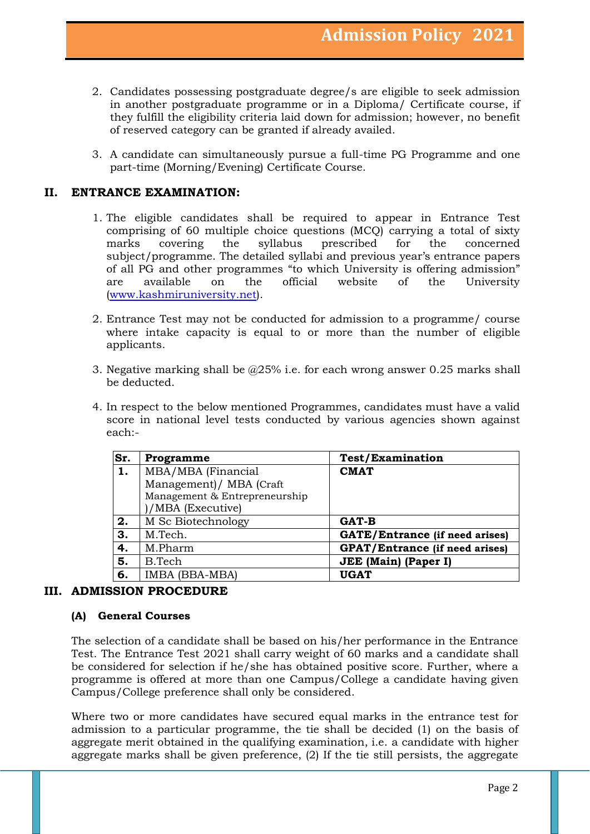- 2. Candidates possessing postgraduate degree/s are eligible to seek admission in another postgraduate programme or in a Diploma/ Certificate course, if they fulfill the eligibility criteria laid down for admission; however, no benefit of reserved category can be granted if already availed.
- 3. A candidate can simultaneously pursue a full-time PG Programme and one part-time (Morning/Evening) Certificate Course.

## **II. ENTRANCE EXAMINATION:**

- 1. The eligible candidates shall be required to appear in Entrance Test comprising of 60 multiple choice questions (MCQ) carrying a total of sixty marks covering the syllabus prescribed for the concerned subject/programme. The detailed syllabi and previous year's entrance papers of all PG and other programmes "to which University is offering admission" are available on the official website of the University [\(www.kashmiruniversity.net\)](http://www.kashmiruniversity.net/).
- 2. Entrance Test may not be conducted for admission to a programme/ course where intake capacity is equal to or more than the number of eligible applicants.
- 3. Negative marking shall be @25% i.e. for each wrong answer 0.25 marks shall be deducted.
- 4. In respect to the below mentioned Programmes, candidates must have a valid score in national level tests conducted by various agencies shown against each:-

| Sr. | Programme                     | <b>Test/Examination</b>               |
|-----|-------------------------------|---------------------------------------|
| 1.  | MBA/MBA (Financial            | <b>CMAT</b>                           |
|     | Management) / MBA (Craft      |                                       |
|     | Management & Entrepreneurship |                                       |
|     | )/MBA (Executive)             |                                       |
| 2.  | M Sc Biotechnology            | <b>GAT-B</b>                          |
| 3.  | M.Tech.                       | <b>GATE/Entrance (if need arises)</b> |
| 4.  | M.Pharm                       | <b>GPAT/Entrance (if need arises)</b> |
| 5.  | B.Tech                        | <b>JEE</b> (Main) (Paper I)           |
| 6.  | IMBA (BBA-MBA)                | <b>UGAT</b>                           |

#### **III. ADMISSION PROCEDURE**

#### **(A) General Courses**

The selection of a candidate shall be based on his/her performance in the Entrance Test. The Entrance Test 2021 shall carry weight of 60 marks and a candidate shall be considered for selection if he/she has obtained positive score. Further, where a programme is offered at more than one Campus/College a candidate having given Campus/College preference shall only be considered.

Where two or more candidates have secured equal marks in the entrance test for admission to a particular programme, the tie shall be decided (1) on the basis of aggregate merit obtained in the qualifying examination, i.e. a candidate with higher aggregate marks shall be given preference, (2) If the tie still persists, the aggregate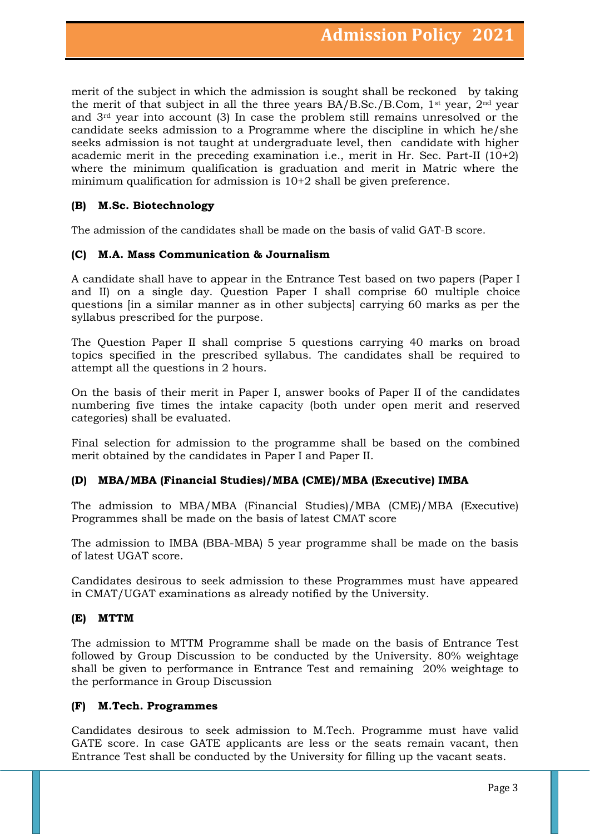merit of the subject in which the admission is sought shall be reckoned by taking the merit of that subject in all the three years BA/B.Sc./B.Com, 1st year, 2nd year and 3rd year into account (3) In case the problem still remains unresolved or the candidate seeks admission to a Programme where the discipline in which he/she seeks admission is not taught at undergraduate level, then candidate with higher academic merit in the preceding examination i.e., merit in Hr. Sec. Part-II  $(10+2)$ where the minimum qualification is graduation and merit in Matric where the minimum qualification for admission is 10+2 shall be given preference.

## **(B) M.Sc. Biotechnology**

The admission of the candidates shall be made on the basis of valid GAT-B score.

#### **(C) M.A. Mass Communication & Journalism**

A candidate shall have to appear in the Entrance Test based on two papers (Paper I and II) on a single day. Question Paper I shall comprise 60 multiple choice questions [in a similar manner as in other subjects] carrying 60 marks as per the syllabus prescribed for the purpose.

The Question Paper II shall comprise 5 questions carrying 40 marks on broad topics specified in the prescribed syllabus. The candidates shall be required to attempt all the questions in 2 hours.

On the basis of their merit in Paper I, answer books of Paper II of the candidates numbering five times the intake capacity (both under open merit and reserved categories) shall be evaluated.

Final selection for admission to the programme shall be based on the combined merit obtained by the candidates in Paper I and Paper II.

## **(D) MBA/MBA (Financial Studies)/MBA (CME)/MBA (Executive) IMBA**

The admission to MBA/MBA (Financial Studies)/MBA (CME)/MBA (Executive) Programmes shall be made on the basis of latest CMAT score

The admission to IMBA (BBA-MBA) 5 year programme shall be made on the basis of latest UGAT score.

Candidates desirous to seek admission to these Programmes must have appeared in CMAT/UGAT examinations as already notified by the University.

#### **(E) MTTM**

The admission to MTTM Programme shall be made on the basis of Entrance Test followed by Group Discussion to be conducted by the University. 80% weightage shall be given to performance in Entrance Test and remaining 20% weightage to the performance in Group Discussion

#### **(F) M.Tech. Programmes**

Candidates desirous to seek admission to M.Tech. Programme must have valid GATE score. In case GATE applicants are less or the seats remain vacant, then Entrance Test shall be conducted by the University for filling up the vacant seats.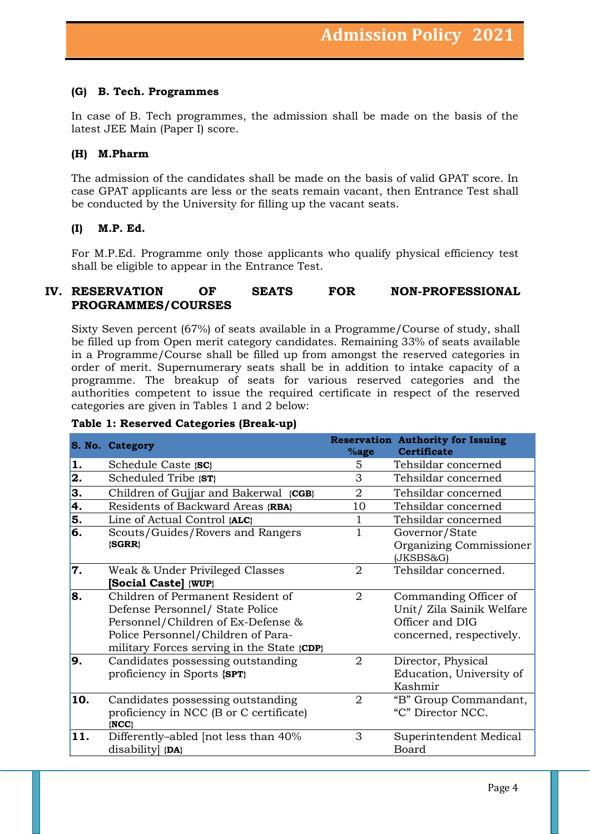#### **(G) B. Tech. Programmes**

In case of B. Tech programmes, the admission shall be made on the basis of the latest JEE Main (Paper I) score.

#### **(H) M.Pharm**

The admission of the candidates shall be made on the basis of valid GPAT score. In case GPAT applicants are less or the seats remain vacant, then Entrance Test shall be conducted by the University for filling up the vacant seats.

#### **(I) M.P. Ed.**

For M.P.Ed. Programme only those applicants who qualify physical efficiency test shall be eligible to appear in the Entrance Test.

## **IV. RESERVATION OF SEATS FOR NON-PROFESSIONAL PROGRAMMES/COURSES**

Sixty Seven percent (67%) of seats available in a Programme/Course of study, shall be filled up from Open merit category candidates. Remaining 33% of seats available in a Programme/Course shall be filled up from amongst the reserved categories in order of merit. Supernumerary seats shall be in addition to intake capacity of a programme. The breakup of seats for various reserved categories and the authorities competent to issue the required certificate in respect of the reserved categories are given in Tables 1 and 2 below:

|                           | S. No. Category                                      | %age           | <b>Reservation Authority for Issuing</b><br><b>Certificate</b> |
|---------------------------|------------------------------------------------------|----------------|----------------------------------------------------------------|
| 1.                        | Schedule Caste { <b>SC</b> }                         | 5              | Tehsildar concerned                                            |
| 2.                        | Scheduled Tribe {ST}                                 | 3              | Tehsildar concerned                                            |
| 3.                        | Children of Gujjar and Bakerwal {CGB}                | $\overline{2}$ | Tehsildar concerned                                            |
| 4.                        | Residents of Backward Areas {RBA}                    | 10             | Tehsildar concerned                                            |
| 5.                        | Line of Actual Control {ALC}                         |                | Tehsildar concerned                                            |
| $\overline{\mathbf{6}}$ . | Scouts/Guides/Rovers and Rangers                     | 1              | Governor/State                                                 |
|                           | {SGRR}                                               |                | Organizing Commissioner<br>(JKSBS&G)                           |
| 7.                        | Weak & Under Privileged Classes                      | $\overline{2}$ | Tehsildar concerned.                                           |
|                           | [Social Caste] {WUP}                                 |                |                                                                |
| 8.                        | Children of Permanent Resident of                    | 2              | Commanding Officer of                                          |
|                           | Defense Personnel/ State Police                      |                | Unit/ Zila Sainik Welfare                                      |
|                           | Personnel/Children of Ex-Defense &                   |                | Officer and DIG                                                |
|                           | Police Personnel/Children of Para-                   |                | concerned, respectively.                                       |
|                           | military Forces serving in the State {CDP}           |                |                                                                |
| 9.                        | Candidates possessing outstanding                    | $\overline{2}$ | Director, Physical                                             |
|                           | proficiency in Sports {SPT}                          |                | Education, University of                                       |
|                           |                                                      |                | Kashmir                                                        |
| 10.                       | Candidates possessing outstanding                    | $\overline{2}$ | "B" Group Commandant,                                          |
|                           | proficiency in NCC (B or C certificate)<br>$\{NCC\}$ |                | "C" Director NCC.                                              |
| 11.                       | Differently-abled [not less than 40%                 | 3              | Superintendent Medical                                         |
|                           | disability {DA}                                      |                | Board                                                          |

#### **Table 1: Reserved Categories (Break-up)**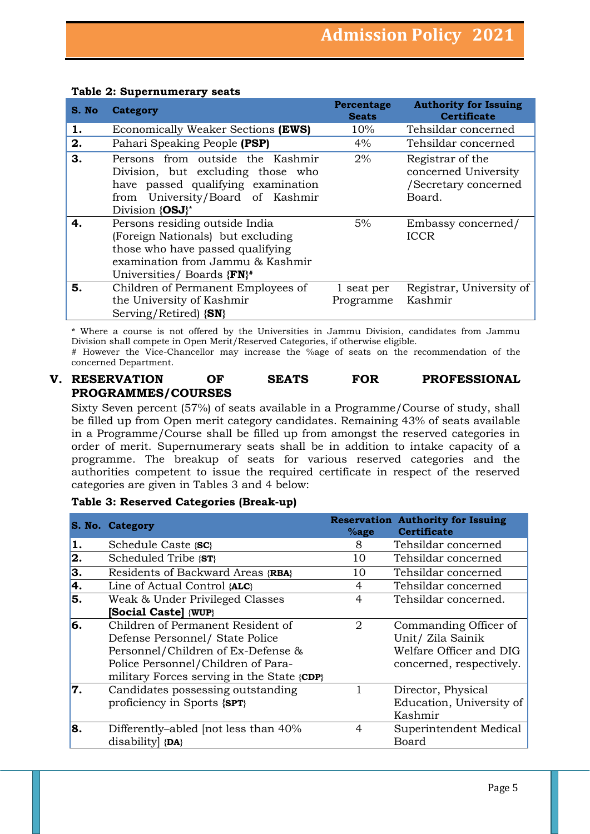| S. No | Category                                                                                                                                                                  | Percentage<br><b>Seats</b> | <b>Authority for Issuing</b><br><b>Certificate</b>                         |
|-------|---------------------------------------------------------------------------------------------------------------------------------------------------------------------------|----------------------------|----------------------------------------------------------------------------|
| 1.    | Economically Weaker Sections (EWS)                                                                                                                                        | 10%                        | Tehsildar concerned                                                        |
| 2.    | Pahari Speaking People (PSP)                                                                                                                                              | 4%                         | Tehsildar concerned                                                        |
| 3.    | Persons from outside the Kashmir<br>Division, but excluding those who<br>have passed qualifying examination<br>from University/Board of Kashmir<br>Division {OSJ}*        | 2%                         | Registrar of the<br>concerned University<br>/Secretary concerned<br>Board. |
| 4.    | Persons residing outside India<br>(Foreign Nationals) but excluding<br>those who have passed qualifying<br>examination from Jammu & Kashmir<br>Universities/ Boards {FN}# | 5%                         | Embassy concerned/<br><b>ICCR</b>                                          |
| 5.    | Children of Permanent Employees of<br>the University of Kashmir<br>Serving/Retired) $\{SN\}$                                                                              | 1 seat per<br>Programme    | Registrar, University of<br>Kashmir                                        |

#### **Table 2: Supernumerary seats**

\* Where a course is not offered by the Universities in Jammu Division, candidates from Jammu Division shall compete in Open Merit/Reserved Categories, if otherwise eligible. # However the Vice-Chancellor may increase the %age of seats on the recommendation of the concerned Department.

## **V. RESERVATION OF SEATS FOR PROFESSIONAL PROGRAMMES/COURSES**

Sixty Seven percent (57%) of seats available in a Programme/Course of study, shall be filled up from Open merit category candidates. Remaining 43% of seats available in a Programme/Course shall be filled up from amongst the reserved categories in order of merit. Supernumerary seats shall be in addition to intake capacity of a programme. The breakup of seats for various reserved categories and the authorities competent to issue the required certificate in respect of the reserved categories are given in Tables 3 and 4 below:

#### **Table 3: Reserved Categories (Break-up)**

|    | S. No. Category                            | %age | <b>Reservation Authority for Issuing</b><br><b>Certificate</b> |
|----|--------------------------------------------|------|----------------------------------------------------------------|
| 1. | Schedule Caste {SC}                        | 8    | Tehsildar concerned                                            |
| 2. | Scheduled Tribe {ST}                       | 10   | Tehsildar concerned                                            |
| 3. | Residents of Backward Areas {RBA}          | 10   | Tehsildar concerned                                            |
| 4. | Line of Actual Control {ALC}               | 4    | Tehsildar concerned                                            |
| 5. | Weak & Under Privileged Classes            | 4    | Tehsildar concerned.                                           |
|    | [Social Caste] {WUP}                       |      |                                                                |
| 6. | Children of Permanent Resident of          | 2    | Commanding Officer of                                          |
|    | Defense Personnel/ State Police            |      | Unit/ Zila Sainik                                              |
|    | Personnel/Children of Ex-Defense &         |      | Welfare Officer and DIG                                        |
|    | Police Personnel/Children of Para-         |      | concerned, respectively.                                       |
|    | military Forces serving in the State {CDP} |      |                                                                |
| 7. | Candidates possessing outstanding          |      | Director, Physical                                             |
|    | proficiency in Sports {SPT}                |      | Education, University of                                       |
|    |                                            |      | Kashmir                                                        |
| 8. | Differently-abled [not less than 40%       | 4    | Superintendent Medical                                         |
|    | disability {DA}                            |      | Board                                                          |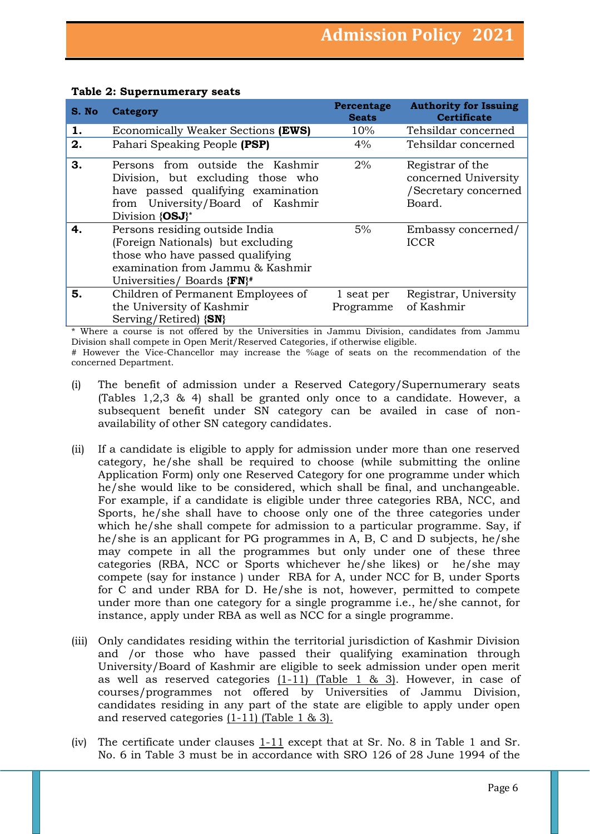| S. No | <b>Category</b>                                                                                                                                                           | Percentage<br><b>Seats</b> | <b>Authority for Issuing</b><br><b>Certificate</b>                         |
|-------|---------------------------------------------------------------------------------------------------------------------------------------------------------------------------|----------------------------|----------------------------------------------------------------------------|
| 1.    | Economically Weaker Sections (EWS)                                                                                                                                        | 10%                        | Tehsildar concerned                                                        |
| 2.    | Pahari Speaking People (PSP)                                                                                                                                              | $4\%$                      | Tehsildar concerned                                                        |
| З.    | Persons from outside the Kashmir<br>Division, but excluding those who<br>have passed qualifying examination<br>from University/Board of Kashmir<br>Division {OSJ}*        | 2%                         | Registrar of the<br>concerned University<br>/Secretary concerned<br>Board. |
| 4.    | Persons residing outside India<br>(Foreign Nationals) but excluding<br>those who have passed qualifying<br>examination from Jammu & Kashmir<br>Universities/ Boards {FN}# | 5%                         | Embassy concerned/<br><b>ICCR</b>                                          |
| 5.    | Children of Permanent Employees of<br>the University of Kashmir<br>Serving/Retired $\{SN\}$                                                                               | 1 seat per<br>Programme    | Registrar, University<br>of Kashmir                                        |

#### **Table 2: Supernumerary seats**

\* Where a course is not offered by the Universities in Jammu Division, candidates from Jammu Division shall compete in Open Merit/Reserved Categories, if otherwise eligible.

# However the Vice-Chancellor may increase the %age of seats on the recommendation of the concerned Department.

- (i) The benefit of admission under a Reserved Category/Supernumerary seats (Tables 1,2,3 & 4) shall be granted only once to a candidate. However, a subsequent benefit under SN category can be availed in case of nonavailability of other SN category candidates.
- (ii) If a candidate is eligible to apply for admission under more than one reserved category, he/she shall be required to choose (while submitting the online Application Form) only one Reserved Category for one programme under which he/she would like to be considered, which shall be final, and unchangeable. For example, if a candidate is eligible under three categories RBA, NCC, and Sports, he/she shall have to choose only one of the three categories under which he/she shall compete for admission to a particular programme. Say, if he/she is an applicant for PG programmes in A, B, C and D subjects, he/she may compete in all the programmes but only under one of these three categories (RBA, NCC or Sports whichever he/she likes) or he/she may compete (say for instance ) under RBA for A, under NCC for B, under Sports for C and under RBA for D. He/she is not, however, permitted to compete under more than one category for a single programme i.e., he/she cannot, for instance, apply under RBA as well as NCC for a single programme.
- (iii) Only candidates residing within the territorial jurisdiction of Kashmir Division and /or those who have passed their qualifying examination through University/Board of Kashmir are eligible to seek admission under open merit as well as reserved categories  $(1-11)$  (Table 1 & 3). However, in case of courses/programmes not offered by Universities of Jammu Division, candidates residing in any part of the state are eligible to apply under open and reserved categories (1-11) (Table 1 & 3).
- (iv) The certificate under clauses  $1-11$  except that at Sr. No. 8 in Table 1 and Sr. No. 6 in Table 3 must be in accordance with SRO 126 of 28 June 1994 of the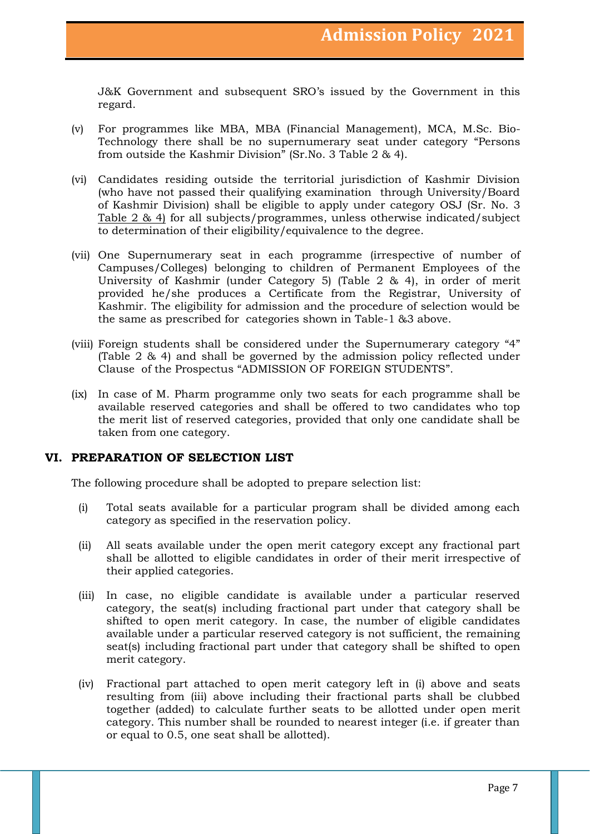J&K Government and subsequent SRO's issued by the Government in this regard.

- (v) For programmes like MBA, MBA (Financial Management), MCA, M.Sc. Bio-Technology there shall be no supernumerary seat under category "Persons from outside the Kashmir Division" (Sr.No. 3 Table 2 & 4).
- (vi) Candidates residing outside the territorial jurisdiction of Kashmir Division (who have not passed their qualifying examination through University/Board of Kashmir Division) shall be eligible to apply under category OSJ (Sr. No. 3 Table 2 & 4) for all subjects/programmes, unless otherwise indicated/subject to determination of their eligibility/equivalence to the degree.
- (vii) One Supernumerary seat in each programme (irrespective of number of Campuses/Colleges) belonging to children of Permanent Employees of the University of Kashmir (under Category 5) (Table 2 & 4), in order of merit provided he/she produces a Certificate from the Registrar, University of Kashmir. The eligibility for admission and the procedure of selection would be the same as prescribed for categories shown in Table-1 &3 above.
- (viii) Foreign students shall be considered under the Supernumerary category "4" (Table 2 & 4) and shall be governed by the admission policy reflected under Clause of the Prospectus "ADMISSION OF FOREIGN STUDENTS".
- (ix) In case of M. Pharm programme only two seats for each programme shall be available reserved categories and shall be offered to two candidates who top the merit list of reserved categories, provided that only one candidate shall be taken from one category.

## **VI. PREPARATION OF SELECTION LIST**

The following procedure shall be adopted to prepare selection list:

- (i) Total seats available for a particular program shall be divided among each category as specified in the reservation policy.
- (ii) All seats available under the open merit category except any fractional part shall be allotted to eligible candidates in order of their merit irrespective of their applied categories.
- (iii) In case, no eligible candidate is available under a particular reserved category, the seat(s) including fractional part under that category shall be shifted to open merit category. In case, the number of eligible candidates available under a particular reserved category is not sufficient, the remaining seat(s) including fractional part under that category shall be shifted to open merit category.
- (iv) Fractional part attached to open merit category left in (i) above and seats resulting from (iii) above including their fractional parts shall be clubbed together (added) to calculate further seats to be allotted under open merit category. This number shall be rounded to nearest integer (i.e. if greater than or equal to 0.5, one seat shall be allotted).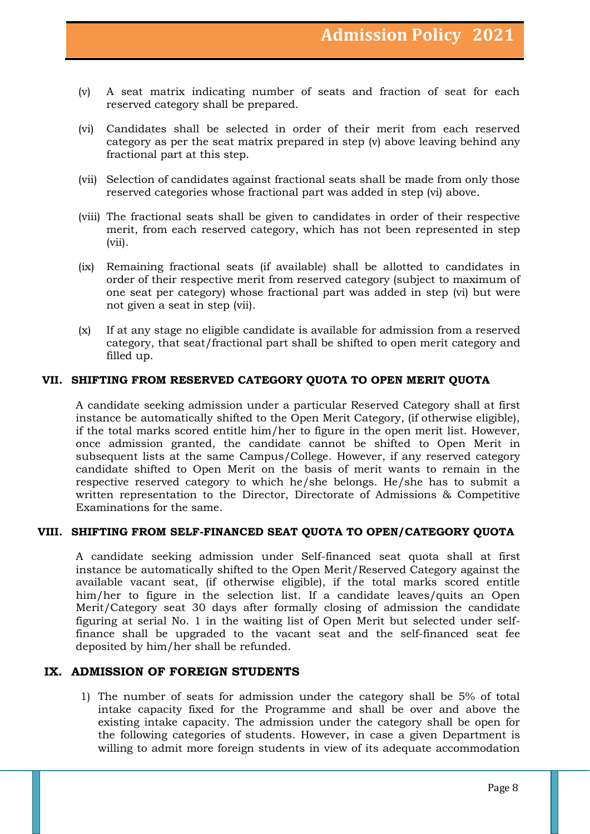- (v) A seat matrix indicating number of seats and fraction of seat for each reserved category shall be prepared.
- (vi) Candidates shall be selected in order of their merit from each reserved category as per the seat matrix prepared in step (v) above leaving behind any fractional part at this step.
- (vii) Selection of candidates against fractional seats shall be made from only those reserved categories whose fractional part was added in step (vi) above.
- (viii) The fractional seats shall be given to candidates in order of their respective merit, from each reserved category, which has not been represented in step (vii).
- (ix) Remaining fractional seats (if available) shall be allotted to candidates in order of their respective merit from reserved category (subject to maximum of one seat per category) whose fractional part was added in step (vi) but were not given a seat in step (vii).
- (x) If at any stage no eligible candidate is available for admission from a reserved category, that seat/fractional part shall be shifted to open merit category and filled up.

#### **VII. SHIFTING FROM RESERVED CATEGORY QUOTA TO OPEN MERIT QUOTA**

A candidate seeking admission under a particular Reserved Category shall at first instance be automatically shifted to the Open Merit Category, (if otherwise eligible), if the total marks scored entitle him/her to figure in the open merit list. However, once admission granted, the candidate cannot be shifted to Open Merit in subsequent lists at the same Campus/College. However, if any reserved category candidate shifted to Open Merit on the basis of merit wants to remain in the respective reserved category to which he/she belongs. He/she has to submit a written representation to the Director, Directorate of Admissions & Competitive Examinations for the same.

#### **VIII. SHIFTING FROM SELF-FINANCED SEAT QUOTA TO OPEN/CATEGORY QUOTA**

A candidate seeking admission under Self-financed seat quota shall at first instance be automatically shifted to the Open Merit/Reserved Category against the available vacant seat, (if otherwise eligible), if the total marks scored entitle him/her to figure in the selection list. If a candidate leaves/quits an Open Merit/Category seat 30 days after formally closing of admission the candidate figuring at serial No. 1 in the waiting list of Open Merit but selected under selffinance shall be upgraded to the vacant seat and the self-financed seat fee deposited by him/her shall be refunded.

## **IX. ADMISSION OF FOREIGN STUDENTS**

1) The number of seats for admission under the category shall be 5% of total intake capacity fixed for the Programme and shall be over and above the existing intake capacity. The admission under the category shall be open for the following categories of students. However, in case a given Department is willing to admit more foreign students in view of its adequate accommodation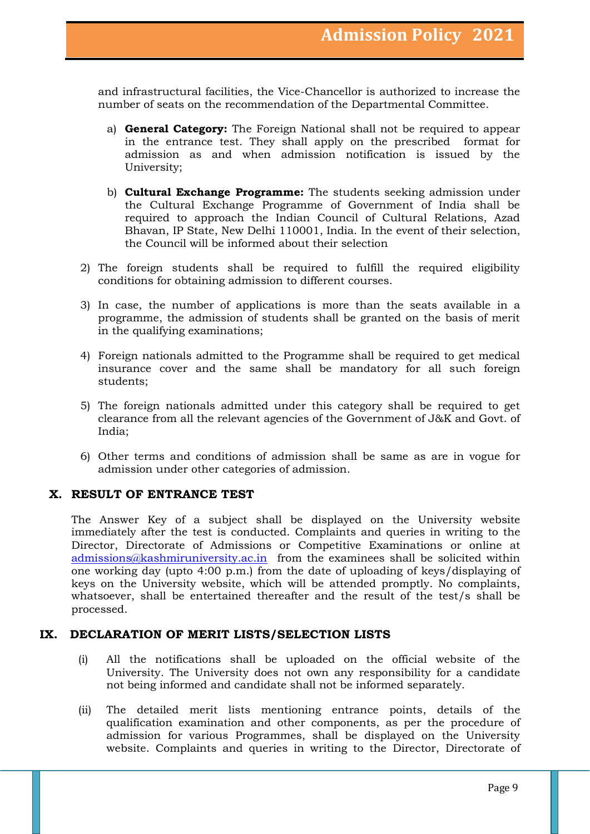and infrastructural facilities, the Vice-Chancellor is authorized to increase the number of seats on the recommendation of the Departmental Committee.

- a) **General Category:** The Foreign National shall not be required to appear in the entrance test. They shall apply on the prescribed format for admission as and when admission notification is issued by the University;
- b) **Cultural Exchange Programme:** The students seeking admission under the Cultural Exchange Programme of Government of India shall be required to approach the Indian Council of Cultural Relations, Azad Bhavan, IP State, New Delhi 110001, India. In the event of their selection, the Council will be informed about their selection
- 2) The foreign students shall be required to fulfill the required eligibility conditions for obtaining admission to different courses.
- 3) In case, the number of applications is more than the seats available in a programme, the admission of students shall be granted on the basis of merit in the qualifying examinations;
- 4) Foreign nationals admitted to the Programme shall be required to get medical insurance cover and the same shall be mandatory for all such foreign students;
- 5) The foreign nationals admitted under this category shall be required to get clearance from all the relevant agencies of the Government of J&K and Govt. of India;
- 6) Other terms and conditions of admission shall be same as are in vogue for admission under other categories of admission.

## **X. RESULT OF ENTRANCE TEST**

The Answer Key of a subject shall be displayed on the University website immediately after the test is conducted. Complaints and queries in writing to the Director, Directorate of Admissions or Competitive Examinations or online at [admissions@kashmiruniversity.ac.in](mailto:admissions@kashmiruniversity.ac.in) from the examinees shall be solicited within one working day (upto 4:00 p.m.) from the date of uploading of keys/displaying of keys on the University website, which will be attended promptly. No complaints, whatsoever, shall be entertained thereafter and the result of the test/s shall be processed.

## **IX. DECLARATION OF MERIT LISTS/SELECTION LISTS**

- (i) All the notifications shall be uploaded on the official website of the University. The University does not own any responsibility for a candidate not being informed and candidate shall not be informed separately.
- (ii) The detailed merit lists mentioning entrance points, details of the qualification examination and other components, as per the procedure of admission for various Programmes, shall be displayed on the University website. Complaints and queries in writing to the Director, Directorate of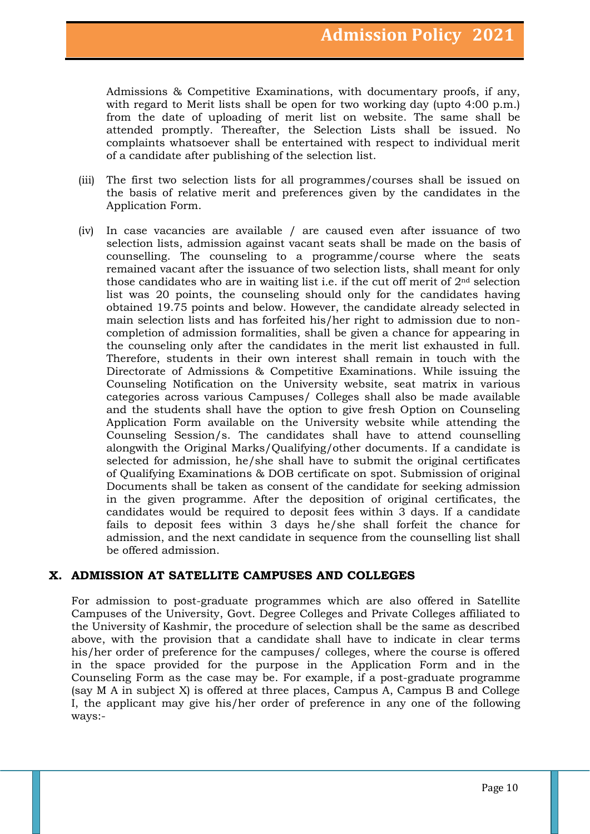Admissions & Competitive Examinations, with documentary proofs, if any, with regard to Merit lists shall be open for two working day (upto 4:00 p.m.) from the date of uploading of merit list on website. The same shall be attended promptly. Thereafter, the Selection Lists shall be issued. No complaints whatsoever shall be entertained with respect to individual merit of a candidate after publishing of the selection list.

- (iii) The first two selection lists for all programmes/courses shall be issued on the basis of relative merit and preferences given by the candidates in the Application Form.
- (iv) In case vacancies are available / are caused even after issuance of two selection lists, admission against vacant seats shall be made on the basis of counselling. The counseling to a programme/course where the seats remained vacant after the issuance of two selection lists, shall meant for only those candidates who are in waiting list i.e. if the cut off merit of 2nd selection list was 20 points, the counseling should only for the candidates having obtained 19.75 points and below. However, the candidate already selected in main selection lists and has forfeited his/her right to admission due to noncompletion of admission formalities, shall be given a chance for appearing in the counseling only after the candidates in the merit list exhausted in full. Therefore, students in their own interest shall remain in touch with the Directorate of Admissions & Competitive Examinations. While issuing the Counseling Notification on the University website, seat matrix in various categories across various Campuses/ Colleges shall also be made available and the students shall have the option to give fresh Option on Counseling Application Form available on the University website while attending the Counseling Session/s. The candidates shall have to attend counselling alongwith the Original Marks/Qualifying/other documents. If a candidate is selected for admission, he/she shall have to submit the original certificates of Qualifying Examinations & DOB certificate on spot. Submission of original Documents shall be taken as consent of the candidate for seeking admission in the given programme. After the deposition of original certificates, the candidates would be required to deposit fees within 3 days. If a candidate fails to deposit fees within 3 days he/she shall forfeit the chance for admission, and the next candidate in sequence from the counselling list shall be offered admission.

## **X. ADMISSION AT SATELLITE CAMPUSES AND COLLEGES**

For admission to post-graduate programmes which are also offered in Satellite Campuses of the University, Govt. Degree Colleges and Private Colleges affiliated to the University of Kashmir, the procedure of selection shall be the same as described above, with the provision that a candidate shall have to indicate in clear terms his/her order of preference for the campuses/ colleges, where the course is offered in the space provided for the purpose in the Application Form and in the Counseling Form as the case may be. For example, if a post-graduate programme (say M A in subject X) is offered at three places, Campus A, Campus B and College I, the applicant may give his/her order of preference in any one of the following ways:-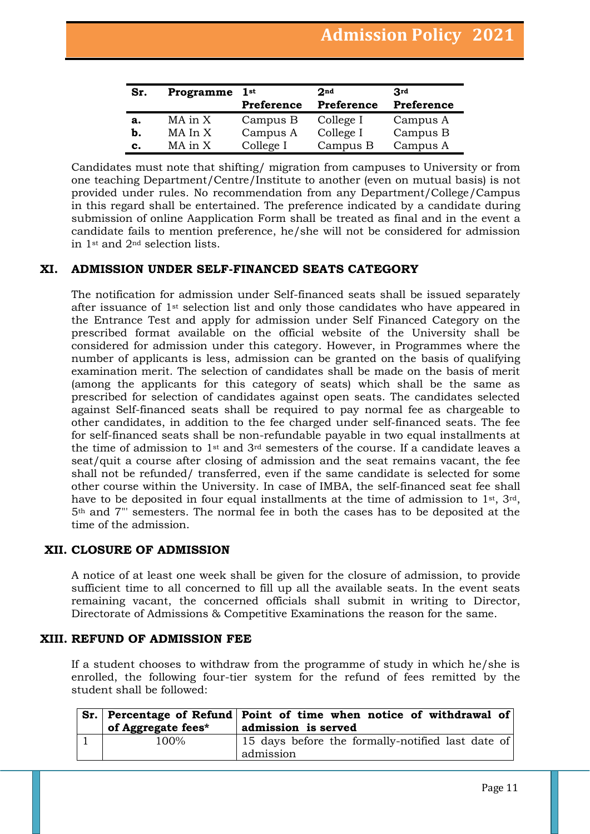| Sr. | Programme | 1st<br>Preference | 2 <sub>nd</sub><br>Preference | 3rd<br>Preference |
|-----|-----------|-------------------|-------------------------------|-------------------|
| a.  | MA in X   | Campus B          | College I                     | Campus A          |
| b.  | MA In X   | Campus A          | College I                     | Campus B          |
| c.  | MA in X   | College I         | Campus B                      | Campus A          |

Candidates must note that shifting/ migration from campuses to University or from one teaching Department/Centre/Institute to another (even on mutual basis) is not provided under rules. No recommendation from any Department/College/Campus in this regard shall be entertained. The preference indicated by a candidate during submission of online Aapplication Form shall be treated as final and in the event a candidate fails to mention preference, he/she will not be considered for admission in 1st and 2nd selection lists.

## **XI. ADMISSION UNDER SELF-FINANCED SEATS CATEGORY**

The notification for admission under Self-financed seats shall be issued separately after issuance of 1st selection list and only those candidates who have appeared in the Entrance Test and apply for admission under Self Financed Category on the prescribed format available on the official website of the University shall be considered for admission under this category. However, in Programmes where the number of applicants is less, admission can be granted on the basis of qualifying examination merit. The selection of candidates shall be made on the basis of merit (among the applicants for this category of seats) which shall be the same as prescribed for selection of candidates against open seats. The candidates selected against Self-financed seats shall be required to pay normal fee as chargeable to other candidates, in addition to the fee charged under self-financed seats. The fee for self-financed seats shall be non-refundable payable in two equal installments at the time of admission to 1st and 3rd semesters of the course. If a candidate leaves a seat/quit a course after closing of admission and the seat remains vacant, the fee shall not be refunded/ transferred, even if the same candidate is selected for some other course within the University. In case of IMBA, the self-financed seat fee shall have to be deposited in four equal installments at the time of admission to  $1<sup>st</sup>$ ,  $3<sup>rd</sup>$ , 5th and 7"' semesters. The normal fee in both the cases has to be deposited at the time of the admission.

## **XII. CLOSURE OF ADMISSION**

A notice of at least one week shall be given for the closure of admission, to provide sufficient time to all concerned to fill up all the available seats. In the event seats remaining vacant, the concerned officials shall submit in writing to Director, Directorate of Admissions & Competitive Examinations the reason for the same.

## **XIII. REFUND OF ADMISSION FEE**

If a student chooses to withdraw from the programme of study in which he/she is enrolled, the following four-tier system for the refund of fees remitted by the student shall be followed:

| of Aggregate fees* | Sr. Percentage of Refund Point of time when notice of withdrawal of<br>admission is served |
|--------------------|--------------------------------------------------------------------------------------------|
| $100\%$            | 15 days before the formally-notified last date of<br>admission                             |